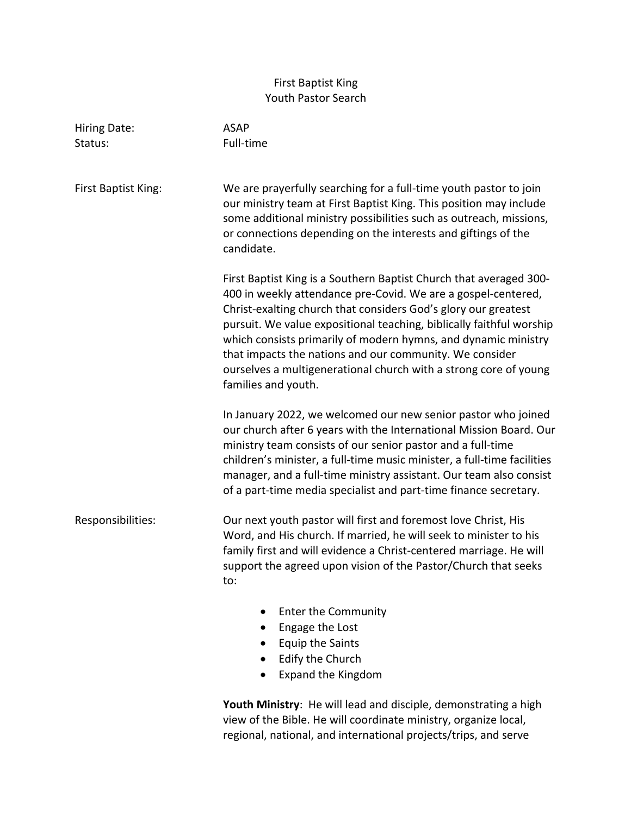## First Baptist King Youth Pastor Search

| Hiring Date:        | <b>ASAP</b>                                                                                                                                                                                                                                                                                                                                                                                                                                                                                           |
|---------------------|-------------------------------------------------------------------------------------------------------------------------------------------------------------------------------------------------------------------------------------------------------------------------------------------------------------------------------------------------------------------------------------------------------------------------------------------------------------------------------------------------------|
| Status:             | Full-time                                                                                                                                                                                                                                                                                                                                                                                                                                                                                             |
|                     |                                                                                                                                                                                                                                                                                                                                                                                                                                                                                                       |
| First Baptist King: | We are prayerfully searching for a full-time youth pastor to join<br>our ministry team at First Baptist King. This position may include<br>some additional ministry possibilities such as outreach, missions,<br>or connections depending on the interests and giftings of the<br>candidate.                                                                                                                                                                                                          |
|                     | First Baptist King is a Southern Baptist Church that averaged 300-<br>400 in weekly attendance pre-Covid. We are a gospel-centered,<br>Christ-exalting church that considers God's glory our greatest<br>pursuit. We value expositional teaching, biblically faithful worship<br>which consists primarily of modern hymns, and dynamic ministry<br>that impacts the nations and our community. We consider<br>ourselves a multigenerational church with a strong core of young<br>families and youth. |
|                     | In January 2022, we welcomed our new senior pastor who joined<br>our church after 6 years with the International Mission Board. Our<br>ministry team consists of our senior pastor and a full-time<br>children's minister, a full-time music minister, a full-time facilities<br>manager, and a full-time ministry assistant. Our team also consist<br>of a part-time media specialist and part-time finance secretary.                                                                               |
| Responsibilities:   | Our next youth pastor will first and foremost love Christ, His<br>Word, and His church. If married, he will seek to minister to his<br>family first and will evidence a Christ-centered marriage. He will<br>support the agreed upon vision of the Pastor/Church that seeks<br>to:                                                                                                                                                                                                                    |
|                     | <b>Enter the Community</b><br>Engage the Lost<br><b>Equip the Saints</b><br>Edify the Church                                                                                                                                                                                                                                                                                                                                                                                                          |

• Expand the Kingdom

**Youth Ministry**: He will lead and disciple, demonstrating a high view of the Bible. He will coordinate ministry, organize local, regional, national, and international projects/trips, and serve